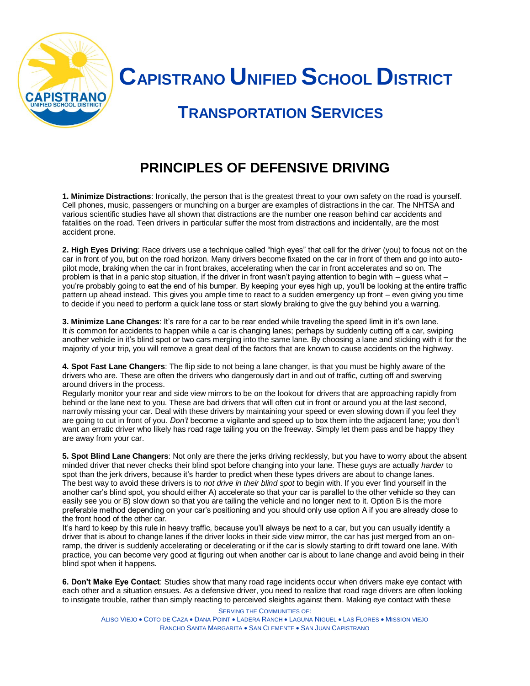

 **CAPISTRANO UNIFIED SCHOOL DISTRICT**

## **TRANSPORTATION SERVICES**

## **PRINCIPLES OF DEFENSIVE DRIVING**

**1. Minimize Distractions**: Ironically, the person that is the greatest threat to your own safety on the road is yourself. Cell phones, music, passengers or munching on a burger are examples of distractions in the car. The NHTSA and various scientific studies have all shown that distractions are the number one reason behind car accidents and fatalities on the road. Teen drivers in particular suffer the most from distractions and incidentally, are the most accident prone.

**2. High Eyes Driving**: Race drivers use a technique called "high eyes" that call for the driver (you) to focus not on the car in front of you, but on the road horizon. Many drivers become fixated on the car in front of them and go into autopilot mode, braking when the car in front brakes, accelerating when the car in front accelerates and so on. The problem is that in a panic stop situation, if the driver in front wasn't paying attention to begin with – guess what – you're probably going to eat the end of his bumper. By keeping your eyes high up, you'll be looking at the entire traffic pattern up ahead instead. This gives you ample time to react to a sudden emergency up front – even giving you time to decide if you need to perform a quick lane toss or start slowly braking to give the guy behind you a warning.

**3. Minimize Lane Changes**: It's rare for a car to be rear ended while traveling the speed limit in it's own lane. It *is* common for accidents to happen while a car is changing lanes; perhaps by suddenly cutting off a car, swiping another vehicle in it's blind spot or two cars merging into the same lane. By choosing a lane and sticking with it for the majority of your trip, you will remove a great deal of the factors that are known to cause accidents on the highway.

**4. Spot Fast Lane Changers**: The flip side to not being a lane changer, is that you must be highly aware of the drivers who are. These are often the drivers who dangerously dart in and out of traffic, cutting off and swerving around drivers in the process.

Regularly monitor your rear and side view mirrors to be on the lookout for drivers that are approaching rapidly from behind or the lane next to you. These are bad drivers that will often cut in front or around you at the last second, narrowly missing your car. Deal with these drivers by maintaining your speed or even slowing down if you feel they are going to cut in front of you. *Don't* become a vigilante and speed up to box them into the adjacent lane; you don't want an erratic driver who likely has road rage tailing you on the freeway. Simply let them pass and be happy they are away from your car.

**5. Spot Blind Lane Changers**: Not only are there the jerks driving recklessly, but you have to worry about the absent minded driver that never checks their blind spot before changing into your lane. These guys are actually *harder* to spot than the jerk drivers, because it's harder to predict when these types drivers are about to change lanes. The best way to avoid these drivers is to *not drive in their blind spot* to begin with. If you ever find yourself in the another car's blind spot, you should either A) accelerate so that your car is parallel to the other vehicle so they can easily see you or B) slow down so that you are tailing the vehicle and no longer next to it. Option B is the more preferable method depending on your car's positioning and you should only use option A if you are already close to the front hood of the other car.

It's hard to keep by this rule in heavy traffic, because you'll always be next to a car, but you can usually identify a driver that is about to change lanes if the driver looks in their side view mirror, the car has just merged from an onramp, the driver is suddenly accelerating or decelerating or if the car is slowly starting to drift toward one lane. With practice, you can become very good at figuring out when another car is about to lane change and avoid being in their blind spot when it happens.

**6. Don't Make Eye Contact**: Studies show that many road rage incidents occur when drivers make eye contact with each other and a situation ensues. As a defensive driver, you need to realize that road rage drivers are often looking to instigate trouble, rather than simply reacting to perceived sleights against them. Making eye contact with these

SERVING THE COMMUNITIES OF: ALISO VIEJO . COTO DE CAZA . DANA POINT . LADERA RANCH . LAGUNA NIGUEL . LAS FLORES . MISSION VIEJO RANCHO SANTA MARGARITA . SAN CLEMENTE . SAN JUAN CAPISTRANO